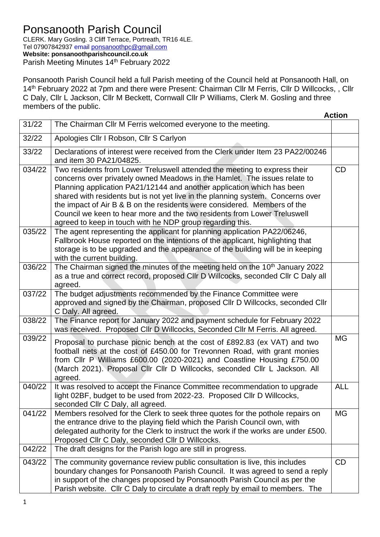## Ponsanooth Parish Council

CLERK. Mary Gosling. 3 Cliff Terrace, Portreath, TR16 4LE. Tel 07907842937 email [ponsanoothpc@gmail.com](mailto:ponsanoothpc@gmail.com) **Website: ponsanoothparishcouncil.co.uk** Parish Meeting Minutes 14<sup>th</sup> February 2022

Ponsanooth Parish Council held a full Parish meeting of the Council held at Ponsanooth Hall, on 14<sup>th</sup> February 2022 at 7pm and there were Present: Chairman Cllr M Ferris, Cllr D Willcocks, , Cllr C Daly, Cllr L Jackson, Cllr M Beckett, Cornwall Cllr P Williams, Clerk M. Gosling and three members of the public.

|        |                                                                                                                                                                                                                                                                                                                                                                                                                                                                                                                                          | <b>Action</b> |
|--------|------------------------------------------------------------------------------------------------------------------------------------------------------------------------------------------------------------------------------------------------------------------------------------------------------------------------------------------------------------------------------------------------------------------------------------------------------------------------------------------------------------------------------------------|---------------|
| 31/22  | The Chairman CIIr M Ferris welcomed everyone to the meeting.                                                                                                                                                                                                                                                                                                                                                                                                                                                                             |               |
| 32/22  | Apologies Cllr I Robson, Cllr S Carlyon                                                                                                                                                                                                                                                                                                                                                                                                                                                                                                  |               |
| 33/22  | Declarations of interest were received from the Clerk under Item 23 PA22/00246<br>and item 30 PA21/04825.                                                                                                                                                                                                                                                                                                                                                                                                                                |               |
| 034/22 | Two residents from Lower Treluswell attended the meeting to express their<br>concerns over privately owned Meadows in the Hamlet. The issues relate to<br>Planning application PA21/12144 and another application which has been<br>shared with residents but is not yet live in the planning system. Concerns over<br>the impact of Air B & B on the residents were considered. Members of the<br>Council we keen to hear more and the two residents from Lower Treluswell<br>agreed to keep in touch with he NDP group regarding this. | CD            |
| 035/22 | The agent representing the applicant for planning application PA22/06246,<br>Fallbrook House reported on the intentions of the applicant, highlighting that<br>storage is to be upgraded and the appearance of the building will be in keeping<br>with the current building.                                                                                                                                                                                                                                                             |               |
| 036/22 | The Chairman signed the minutes of the meeting held on the 10 <sup>th</sup> January 2022<br>as a true and correct record, proposed CIIr D Willcocks, seconded CIIr C Daly all<br>agreed.                                                                                                                                                                                                                                                                                                                                                 |               |
| 037/22 | The budget adjustments recommended by the Finance Committee were<br>approved and signed by the Chairman, proposed CIIr D Willcocks, seconded CIIr<br>C Daly. All agreed.                                                                                                                                                                                                                                                                                                                                                                 |               |
| 038/22 | The Finance report for January 2022 and payment schedule for February 2022<br>was received. Proposed Cllr D Willcocks, Seconded Cllr M Ferris. All agreed.                                                                                                                                                                                                                                                                                                                                                                               |               |
| 039/22 | Proposal to purchase picnic bench at the cost of £892.83 (ex VAT) and two<br>football nets at the cost of £450.00 for Trevonnen Road, with grant monies<br>from Cllr P Williams £600.00 (2020-2021) and Coastline Housing £750.00<br>(March 2021). Proposal Cllr Cllr D Willcocks, seconded Cllr L Jackson. All<br>agreed.                                                                                                                                                                                                               | <b>MG</b>     |
| 040/22 | It was resolved to accept the Finance Committee recommendation to upgrade<br>light 02BF, budget to be used from 2022-23. Proposed CIIr D Willcocks,<br>seconded Cllr C Daly, all agreed.                                                                                                                                                                                                                                                                                                                                                 | <b>ALL</b>    |
| 041/22 | Members resolved for the Clerk to seek three quotes for the pothole repairs on<br>the entrance drive to the playing field which the Parish Council own, with<br>delegated authority for the Clerk to instruct the work if the works are under £500.<br>Proposed Cllr C Daly, seconded Cllr D Willcocks.                                                                                                                                                                                                                                  | <b>MG</b>     |
| 042/22 | The draft designs for the Parish logo are still in progress.                                                                                                                                                                                                                                                                                                                                                                                                                                                                             |               |
| 043/22 | The community governance review public consultation is live, this includes<br>boundary changes for Ponsanooth Parish Council. It was agreed to send a reply<br>in support of the changes proposed by Ponsanooth Parish Council as per the<br>Parish website. Cllr C Daly to circulate a draft reply by email to members. The                                                                                                                                                                                                             | CD            |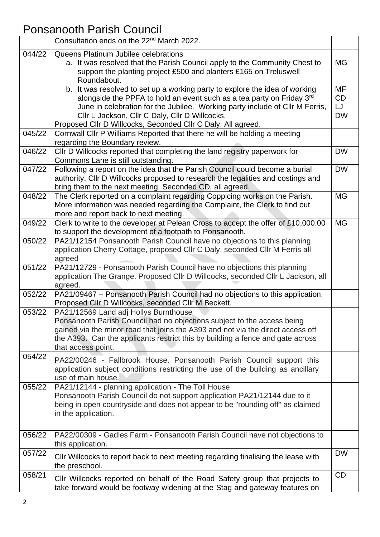## Ponsanooth Parish Council

|        | Consultation ends on the 22 <sup>nd</sup> March 2022.                                                                                                                                                                                                                                                                                                  |                                           |
|--------|--------------------------------------------------------------------------------------------------------------------------------------------------------------------------------------------------------------------------------------------------------------------------------------------------------------------------------------------------------|-------------------------------------------|
| 044/22 | Queens Platinum Jubilee celebrations<br>a. It was resolved that the Parish Council apply to the Community Chest to<br>support the planting project £500 and planters £165 on Treluswell<br>Roundabout.                                                                                                                                                 | <b>MG</b>                                 |
|        | b. It was resolved to set up a working party to explore the idea of working<br>alongside the PPFA to hold an event such as a tea party on Friday 3rd<br>June in celebration for the Jubilee. Working party include of Cllr M Ferris,<br>Cllr L Jackson, Cllr C Daly, Cllr D Willcocks.<br>Proposed Cllr D Willcocks, Seconded Cllr C Daly. All agreed. | <b>MF</b><br><b>CD</b><br>LJ<br><b>DW</b> |
| 045/22 | Cornwall Cllr P Williams Reported that there he will be holding a meeting<br>regarding the Boundary review.                                                                                                                                                                                                                                            |                                           |
| 046/22 | CIIr D Willcocks reported that completing the land registry paperwork for<br>Commons Lane is still outstanding.                                                                                                                                                                                                                                        | <b>DW</b>                                 |
| 047/22 | Following a report on the idea that the Parish Council could become a burial<br>authority, Cllr D Willcocks proposed to research the legalities and costings and<br>bring them to the next meeting. Seconded CD, all agreed.                                                                                                                           | <b>DW</b>                                 |
| 048/22 | The Clerk reported on a complaint regarding Coppicing works on the Parish.<br>More information was needed regarding the Complaint, the Clerk to find out<br>more and report back to next meeting.                                                                                                                                                      | <b>MG</b>                                 |
| 049/22 | Clerk to write to the developer at Pelean Cross to accept the offer of £10,000.00<br>to support the development of a footpath to Ponsanooth.                                                                                                                                                                                                           | <b>MG</b>                                 |
| 050/22 | PA21/12154 Ponsanooth Parish Council have no objections to this planning<br>application Cherry Cottage, proposed Cllr C Daly, seconded Cllr M Ferris all<br>agreed                                                                                                                                                                                     |                                           |
| 051/22 | PA21/12729 - Ponsanooth Parish Council have no objections this planning<br>application The Grange. Proposed Cllr D Willcocks, seconded Cllr L Jackson, all<br>agreed.                                                                                                                                                                                  |                                           |
| 052/22 | PA21/09467 - Ponsanooth Parish Council had no objections to this application.<br>Proposed Cllr D Willcocks, seconded Cllr M Beckett.                                                                                                                                                                                                                   |                                           |
| 053/22 | PA21/12569 Land adj Hollys Burnthouse<br>Ponsanooth Parish Council had no objections subject to the access being<br>gained via the minor road that joins the A393 and not via the direct access off<br>the A393. Can the applicants restrict this by building a fence and gate across<br>that access point.                                            |                                           |
| 054/22 | PA22/00246 - Fallbrook House. Ponsanooth Parish Council support this<br>application subject conditions restricting the use of the building as ancillary<br>use of main house.                                                                                                                                                                          |                                           |
| 055/22 | PA21/12144 - planning application - The Toll House<br>Ponsanooth Parish Council do not support application PA21/12144 due to it<br>being in open countryside and does not appear to be "rounding off" as claimed<br>in the application.                                                                                                                |                                           |
| 056/22 | PA22/00309 - Gadles Farm - Ponsanooth Parish Council have not objections to<br>this application.                                                                                                                                                                                                                                                       |                                           |
| 057/22 | CIIr Willcocks to report back to next meeting regarding finalising the lease with<br>the preschool.                                                                                                                                                                                                                                                    | <b>DW</b>                                 |
| 058/21 | CIIr Willcocks reported on behalf of the Road Safety group that projects to<br>take forward would be footway widening at the Stag and gateway features on                                                                                                                                                                                              | <b>CD</b>                                 |